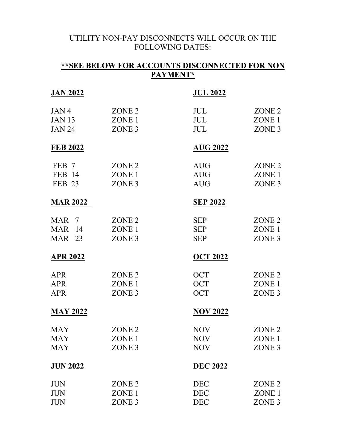## UTILITY NON-PAY DISCONNECTS WILL OCCUR ON THE FOLLOWING DATES:

| ** SEE BELOW FOR ACCOUNTS DISCONNECTED FOR NON<br>PAYMENT* |                   |                 |                   |  |
|------------------------------------------------------------|-------------------|-----------------|-------------------|--|
| <u>JAN 2022</u>                                            |                   | <u>JUL 2022</u> |                   |  |
| JAN4                                                       | ZONE <sub>2</sub> | JUL             | ZONE <sub>2</sub> |  |
| <b>JAN 13</b>                                              | ZONE <sub>1</sub> | <b>JUL</b>      | ZONE <sub>1</sub> |  |
| <b>JAN 24</b>                                              | ZONE <sub>3</sub> | <b>JUL</b>      | ZONE <sub>3</sub> |  |
| <b>FEB 2022</b>                                            |                   | <b>AUG 2022</b> |                   |  |
| FEB 7                                                      | ZONE <sub>2</sub> | <b>AUG</b>      | ZONE <sub>2</sub> |  |
| FEB 14                                                     | ZONE 1            | <b>AUG</b>      | ZONE 1            |  |
| <b>FEB 23</b>                                              | ZONE <sub>3</sub> | <b>AUG</b>      | ZONE <sub>3</sub> |  |
| <b>MAR 2022</b>                                            |                   | <b>SEP 2022</b> |                   |  |
| MAR 7                                                      | ZONE <sub>2</sub> | <b>SEP</b>      | ZONE <sub>2</sub> |  |
| <b>MAR</b> 14                                              | ZONE 1            | <b>SEP</b>      | ZONE <sub>1</sub> |  |
| <b>MAR</b> 23                                              | ZONE <sub>3</sub> | <b>SEP</b>      | ZONE <sub>3</sub> |  |
| <b>APR 2022</b>                                            |                   | <b>OCT 2022</b> |                   |  |
| <b>APR</b>                                                 | ZONE <sub>2</sub> | <b>OCT</b>      | ZONE <sub>2</sub> |  |
| <b>APR</b>                                                 | ZONE <sub>1</sub> | <b>OCT</b>      | ZONE <sub>1</sub> |  |
| <b>APR</b>                                                 | ZONE <sub>3</sub> | <b>OCT</b>      | ZONE <sub>3</sub> |  |
| <b>MAY 2022</b>                                            |                   | <b>NOV 2022</b> |                   |  |
| <b>MAY</b>                                                 | ZONE <sub>2</sub> | <b>NOV</b>      | ZONE <sub>2</sub> |  |
| <b>MAY</b>                                                 | ZONE <sub>1</sub> | <b>NOV</b>      | ZONE <sub>1</sub> |  |
| <b>MAY</b>                                                 | ZONE <sub>3</sub> | <b>NOV</b>      | ZONE <sub>3</sub> |  |
| <b>JUN 2022</b>                                            |                   | <b>DEC 2022</b> |                   |  |
| <b>JUN</b>                                                 | ZONE <sub>2</sub> | <b>DEC</b>      | ZONE <sub>2</sub> |  |
| <b>JUN</b>                                                 | ZONE <sub>1</sub> | <b>DEC</b>      | ZONE <sub>1</sub> |  |
| <b>JUN</b>                                                 | ZONE <sub>3</sub> | <b>DEC</b>      | ZONE <sub>3</sub> |  |